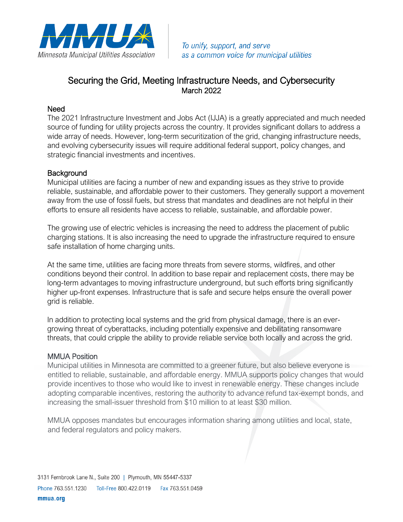

To unify, support, and serve as a common voice for municipal utilities

## Securing the Grid, Meeting Infrastructure Needs, and Cybersecurity March 2022

## Need

The 2021 Infrastructure Investment and Jobs Act (IJJA) is a greatly appreciated and much needed source of funding for utility projects across the country. It provides significant dollars to address a wide array of needs. However, long-term securitization of the grid, changing infrastructure needs, and evolving cybersecurity issues will require additional federal support, policy changes, and strategic financial investments and incentives.

## **Background**

Municipal utilities are facing a number of new and expanding issues as they strive to provide reliable, sustainable, and affordable power to their customers. They generally support a movement away from the use of fossil fuels, but stress that mandates and deadlines are not helpful in their efforts to ensure all residents have access to reliable, sustainable, and affordable power.

The growing use of electric vehicles is increasing the need to address the placement of public charging stations. It is also increasing the need to upgrade the infrastructure required to ensure safe installation of home charging units.

At the same time, utilities are facing more threats from severe storms, wildfires, and other conditions beyond their control. In addition to base repair and replacement costs, there may be long-term advantages to moving infrastructure underground, but such efforts bring significantly higher up-front expenses. Infrastructure that is safe and secure helps ensure the overall power grid is reliable.

In addition to protecting local systems and the grid from physical damage, there is an evergrowing threat of cyberattacks, including potentially expensive and debilitating ransomware threats, that could cripple the ability to provide reliable service both locally and across the grid.

## MMUA Position

Municipal utilities in Minnesota are committed to a greener future, but also believe everyone is entitled to reliable, sustainable, and affordable energy. MMUA supports policy changes that would provide incentives to those who would like to invest in renewable energy. These changes include adopting comparable incentives, restoring the authority to advance refund tax-exempt bonds, and increasing the small-issuer threshold from \$10 million to at least \$30 million.

MMUA opposes mandates but encourages information sharing among utilities and local, state, and federal regulators and policy makers.